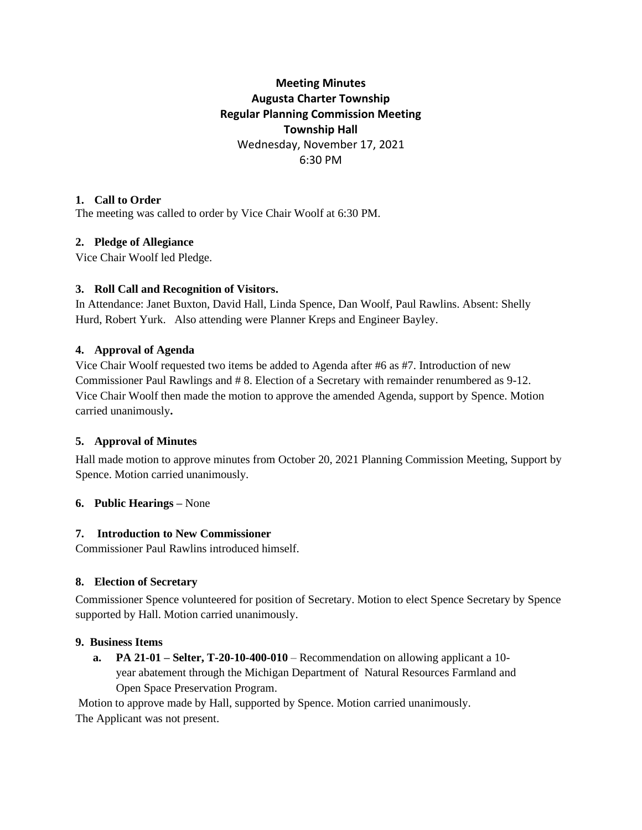# **Meeting Minutes Augusta Charter Township Regular Planning Commission Meeting Township Hall** Wednesday, November 17, 2021 6:30 PM

### **1. Call to Order**

The meeting was called to order by Vice Chair Woolf at 6:30 PM.

# **2. Pledge of Allegiance**

Vice Chair Woolf led Pledge.

### **3. Roll Call and Recognition of Visitors.**

In Attendance: Janet Buxton, David Hall, Linda Spence, Dan Woolf, Paul Rawlins. Absent: Shelly Hurd, Robert Yurk. Also attending were Planner Kreps and Engineer Bayley.

### **4. Approval of Agenda**

Vice Chair Woolf requested two items be added to Agenda after #6 as #7. Introduction of new Commissioner Paul Rawlings and # 8. Election of a Secretary with remainder renumbered as 9-12. Vice Chair Woolf then made the motion to approve the amended Agenda, support by Spence. Motion carried unanimously**.** 

# **5. Approval of Minutes**

Hall made motion to approve minutes from October 20, 2021 Planning Commission Meeting, Support by Spence. Motion carried unanimously.

### **6. Public Hearings –** None

### **7. Introduction to New Commissioner**

Commissioner Paul Rawlins introduced himself.

# **8. Election of Secretary**

Commissioner Spence volunteered for position of Secretary. Motion to elect Spence Secretary by Spence supported by Hall. Motion carried unanimously.

### **9. Business Items**

 **a. PA 21-01 – Selter, T-20-10-400-010** – Recommendation on allowing applicant a 10 year abatement through the Michigan Department of Natural Resources Farmland and Open Space Preservation Program.

Motion to approve made by Hall, supported by Spence. Motion carried unanimously. The Applicant was not present.